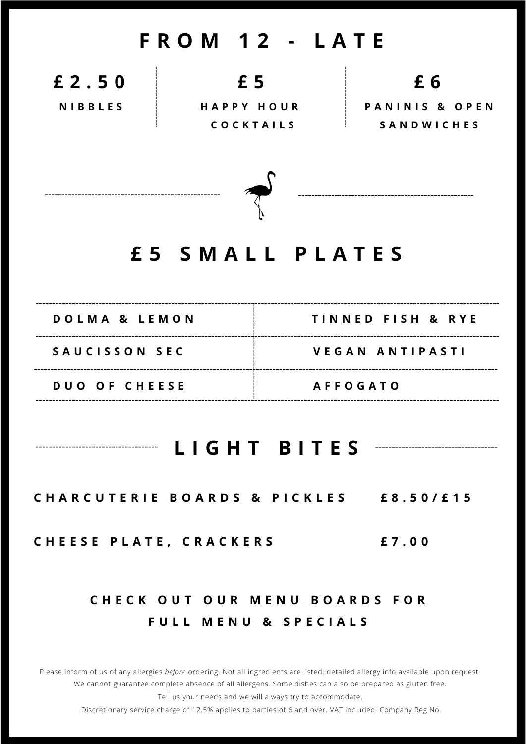### **F R O M 1 2 - L A T E**

**£ 2 . 5 0**

**N I B B L E S**

**£ 5**

**H A P P Y H O U R C O C K T A I L S**

**£ 6**

**P A N I N I S & O P E N S A N D W I C H E S**



## **£ 5 S M A L L P L A T E S**

| DOLMA & LEMON        | TINNED FISH & RYE |
|----------------------|-------------------|
| SAUCISSON SEC        | VEGAN ANTIPASTI   |
| <b>DUO OF CHEESE</b> | <b>AFFOGATO</b>   |

#### **L I G H T B I T E S**

CHARCUTERIE BOARDS & PICKLES £8.50/£15

**C H E E S E P L A T E , C R A C K E R S £ 7 . 0 0**

#### **C H E C K O U T O U R M E N U B O A R D S F O R F U L L M E N U & S P E C I A L S**

Please inform of us of any allergies *before* ordering. Not all ingredients are listed; detailed allergy info available upon request. We cannot guarantee complete absence of all allergens. Some dishes can also be prepared as gluten free. Tell us your needs and we will always try to accommodate.

Discretionary service charge of 12.5% applies to parties of 6 and over. VAT included. Company Reg No.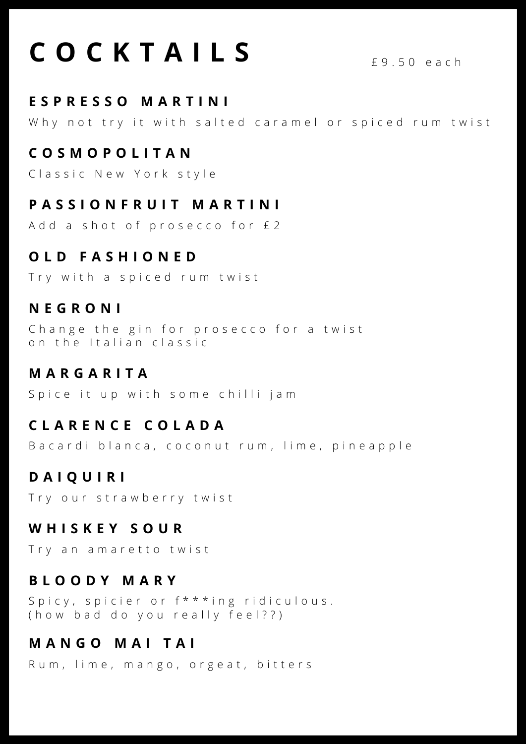# **C O C K T A I L S** £ <sup>9</sup> . <sup>5</sup> <sup>0</sup> <sup>e</sup> <sup>a</sup> <sup>c</sup> <sup>h</sup>

#### **E S P R E S S O M A R T I N I**

Why not try it with salted caramel or spiced rum twist

#### **C O S M O P O L I T A N**

Classic New York style

#### **P A S S I O N F R U I T M A R T I N I**

Add a shot of prosecco for £2

#### **O L D F A S H I O N E D**

Try with a spiced rum twist

#### **N E G R O N I**

Change the gin for prosecco for a twist on the Italian classic

#### **M A R G A R I T A**

Spice it up with some chilli jam

#### **C L A R E N C E C O L A D A**

Bacardi blanca, coconut rum, lime, pineapple

#### **D A I Q U I R I**

Try our strawberry twist

#### **W H I S K E Y S O U R**

Try an amaretto twist

#### **B L O O D Y M A R Y**

Spicy, spicier or  $f***$  ing ridiculous. (how bad do you really feel??)

#### **M A N G O M A I T A I**

Rum, lime, mango, orgeat, bitters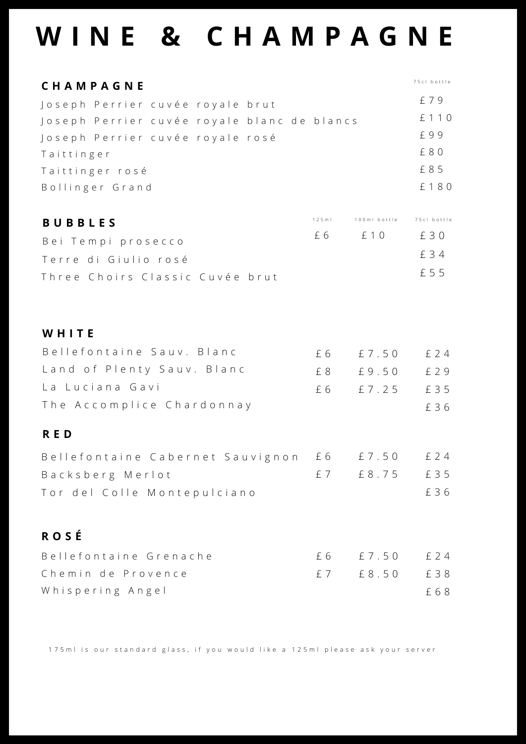# **W I N E & C H A M P A G N E**

| CHAMPAGNE                                   |      |                          | 75cl bottle |
|---------------------------------------------|------|--------------------------|-------------|
| Joseph Perrier cuvée royale brut            |      |                          | £ 7 9       |
| Joseph Perrier cuvée royale blanc de blancs |      |                          | £ 1 1 0     |
| Joseph Perrier cuvée royale rosé            |      |                          | £99         |
| Taittinger                                  |      |                          | £ 8 0       |
| Taittinger rosé                             |      |                          | £ 8 5       |
| Bollinger Grand                             |      |                          | £180        |
| <b>BUBBLES</b>                              | 125m | 100ml bottle 75cl bottle |             |
| Bei Tempi prosecco                          |      | £ 6  E 1 0               | £ 3 0       |
| Terre di Giulio rosé                        |      |                          | £ 3 4       |
| Three Choirs Classic Cuvée brut             |      |                          | £ 5 5       |
|                                             |      |                          |             |
| WHITE                                       |      |                          |             |
| Bellefontaine Sauv. Blanc                   |      | £ 6 £ 7.50               | £ 2 4       |
| Land of Plenty Sauv. Blanc                  | £8   | £9.50                    | £ 2 9       |
| La Luciana Gavi                             | £6   | £7.25                    | £ 3 5       |
| The Accomplice Chardonnay                   |      |                          | £ 3 6       |
| <b>RED</b>                                  |      |                          |             |
| Bellefontaine Cabernet Sauvignon £6 £7.50   |      |                          | £ 2 4       |
| Backsberg Merlot                            |      | £7 £8.75                 | £ 3 5       |
| Tor del Colle Montepulciano                 |      |                          | £36         |
| <b>ROSÉ</b>                                 |      |                          |             |
| Bellefontaine Grenache                      | £6   | £ 7.50                   | £ 2 4       |
| Chemin de Provence                          | £ 7  | $£ 8.50$                 | £38         |
| Whispering Angel                            |      |                          | £68         |

175 m l is our standard glass, if you would like a 125 m l please ask your server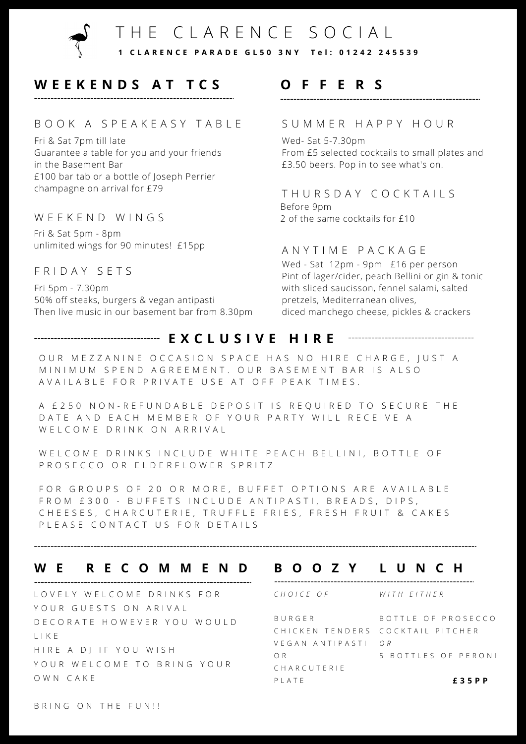

#### **W E E K E N D S A T T C S**

#### B O O K A S P E A K E A S Y T A B L E

Fri & Sat 7pm till late Guarantee a table for you and your friends in the Basement Bar £100 bar tab or a bottle of Joseph Perrier champagne on arrival for £79

#### WEEKEND WINGS

Fri & Sat 5pm - 8pm unlimited wings for 90 minutes! £15pp

#### F R I D A Y S E T S

Fri 5pm - 7.30pm 50% off steaks, burgers & vegan antipasti Then live music in our basement bar from 8.30pm

#### **O F F E R S**

#### S U M M E R H A P P Y H O U R

Wed- Sat 5-7.30pm From £5 selected cocktails to small plates and £3.50 beers. Pop in to see what's on.

#### THURSDAY COCKTAILS

Before 9pm 2 of the same cocktails for £10

#### A N Y T I M E P A C K A G E

Wed - Sat 12pm - 9pm £16 per person Pint of lager/cider, peach Bellini or gin & tonic with sliced saucisson, fennel salami, salted pretzels, Mediterranean olives, diced manchego cheese, pickles & crackers

#### **E X C L U S I V E H I R E**

OUR MEZZANINE OCCASION SPACE HAS NO HIRE CHARGE, JUST A M IN I M U M S P E N D A G R E E M E N T . O U R B A S E M E N T B A R I S A L S O AVAILABLE FOR PRIVATE USE AT OFF PEAK TIMES.

A £ 250 NON-REFUNDABLE DEPOSIT IS REQUIRED TO SECURE THE DATE AND EACH MEMBER OF YOUR PARTY WILL RECEIVE A W E L C O M E D R I N K O N A R R I V A L

W E L COME DRINKS IN CLUDE WHITE PEACH BELLINI, BOTTLE OF P R O S E C C O O R E L D E R F L O W E R S P R I T Z

FOR GROUPS OF 20 OR MORE, BUFFET OPTIONS ARE AVAILABLE FROM £300 - BUFFETS INCLUDE ANTIPASTI, BREADS, DIPS, CHEESES, CHARCUTERIE, TRUFFLE FRIES, FRESH FRUIT & CAKES PLEASE CONTACT US FOR DETAILS

#### **W E R E C O M M E N D B O O Z Y L U N C H**

LOVELY WELCOME DRINKS FOR YOUR GUESTS ON ARIVAL D E C O R A T E H O W E V E R Y O U W O U L D L I K E H I R E A D J I F Y O U W I S H YOUR WELCOME TO BRING YOUR O W N C A K E

| $P$   $A$ T F             | £35 P P                          |
|---------------------------|----------------------------------|
| CHARCUTERIE               |                                  |
| O R                       | 5 BOTTLES OF PERONI              |
| VEGAN ANTIPASTI <i>OR</i> |                                  |
|                           | CHICKEN TENDERS COCKTAIL PITCHER |
| BURGFR                    | BOTTLE OF PROSECCO               |
| CHOICE OF                 | WITH FITHFR                      |
|                           |                                  |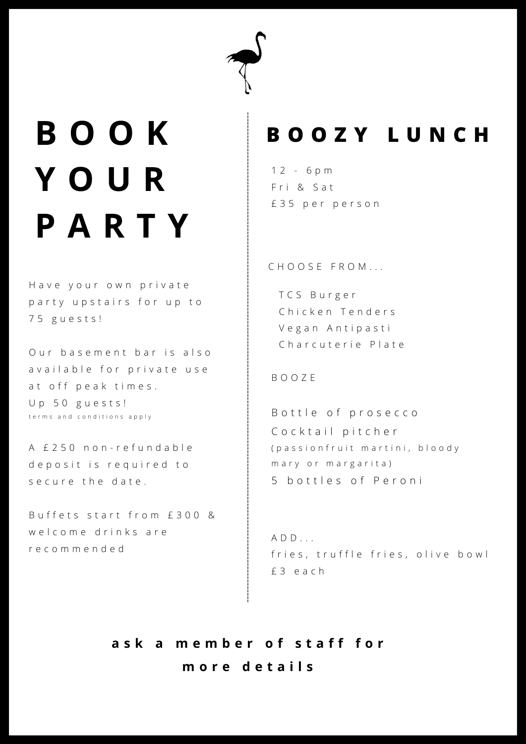# **B O O K Y O U R P A R T Y**

Have your own private p a r t y u p s t a ir s f o r u p t o 7 5 g u e s t s !

Our basement bar is also available for private use at off peak times. Up 50 guests! terms and conditions apply

A £ 250 non-refundable de posit is required to s e cure the date.

Buffets start from £300 & welcome drinks are r e c o m m e n d e d

### **B O O Z Y L U N C H**

1 2 - 6 p m Fri & Sat £ 3 5 p e r p e r s o n

C H O O S E F R O M . . .

T C S B u r g e r Chicken Tenders Vegan Antipasti Charcuterie Plate

B O O Z E

B o t t l e o f prosecco Cocktail pitcher (passion fruit martini, bloody m a r y or m a r g a r i t a ) 5 b o t t l e s o f P e r o n i

```
A D D . . .
fries, truffle fries, olive bowl
£ 3 e a c h
```
**a s k a m e m b e r o f s t a f f f o r m o r e d e t a i l s**